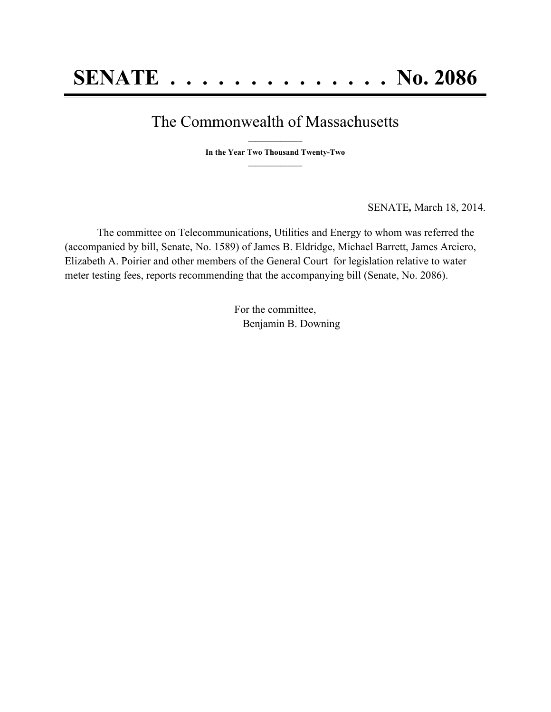## The Commonwealth of Massachusetts

**\_\_\_\_\_\_\_\_\_\_\_\_\_\_\_ In the Year Two Thousand Twenty-Two \_\_\_\_\_\_\_\_\_\_\_\_\_\_\_**

SENATE*,* March 18, 2014.

The committee on Telecommunications, Utilities and Energy to whom was referred the (accompanied by bill, Senate, No. 1589) of James B. Eldridge, Michael Barrett, James Arciero, Elizabeth A. Poirier and other members of the General Court for legislation relative to water meter testing fees, reports recommending that the accompanying bill (Senate, No. 2086).

> For the committee, Benjamin B. Downing